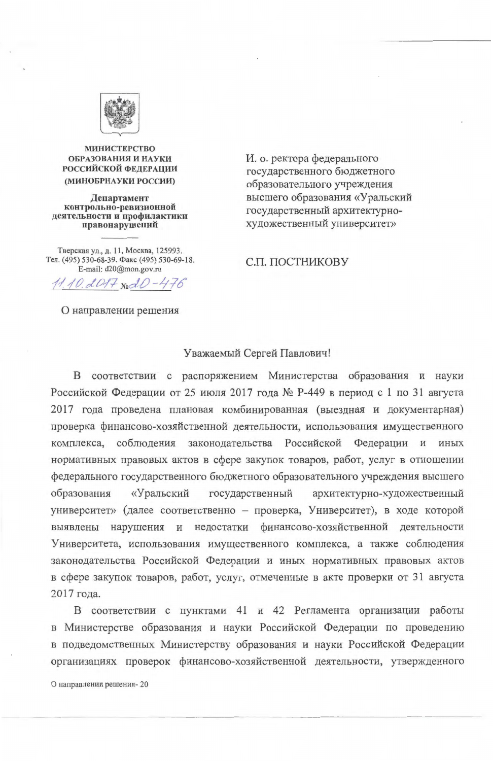

**МИНИСТЕРСТВО** ОБРАЗОВАНИЯ И НАУКИ **РОССИЙСКОЙ ФЕДЕРАЦИИ** (МИНОБРНАУКИ РОССИИ)

Департамент контрольно-ревизионной деятельности и профилактики правонарушений

Тверская ул., д. 11, Москва, 125993. Тел. (495) 530-68-39. Факс (495) 530-69-18. E-mail: d20@mon.gov.ru

 $11.10.0017 \text{ mod } 0 - 476$ 

О направлении решения

И. о. ректора федерального государственного бюджетного образовательного учреждения высшего образования «Уральский государственный архитектурнохудожественный университет»

С.П. ПОСТНИКОВУ

#### Уважаемый Сергей Павлович!

соответствии с распоряжением Министерства образования и науки Β Российской Федерации от 25 июля 2017 года № Р-449 в период с 1 по 31 августа 2017 года проведена плановая комбинированная (выездная и документарная) проверка финансово-хозяйственной деятельности, использования имущественного соблюдения законодательства Российской Федерации  $\,$  M комплекса, иных нормативных правовых актов в сфере закупок товаров, работ, услуг в отношении федерального государственного бюджетного образовательного учреждения высшего государственный архитектурно-художественный «Уральский образования университет» (далее соответственно - проверка, Университет), в ходе которой и недостатки финансово-хозяйственной деятельности нарушения выявлены Университета, использования имущественного комплекса, а также соблюдения законодательства Российской Федерации и иных нормативных правовых актов в сфере закупок товаров, работ, услуг, отмеченные в акте проверки от 31 августа 2017 года.

В соответствии с пунктами 41 и 42 Регламента организации работы в Министерстве образования и науки Российской Федерации по проведению в подведомственных Министерству образования и науки Российской Федерации организациях проверок финансово-хозяйственной деятельности, утвержденного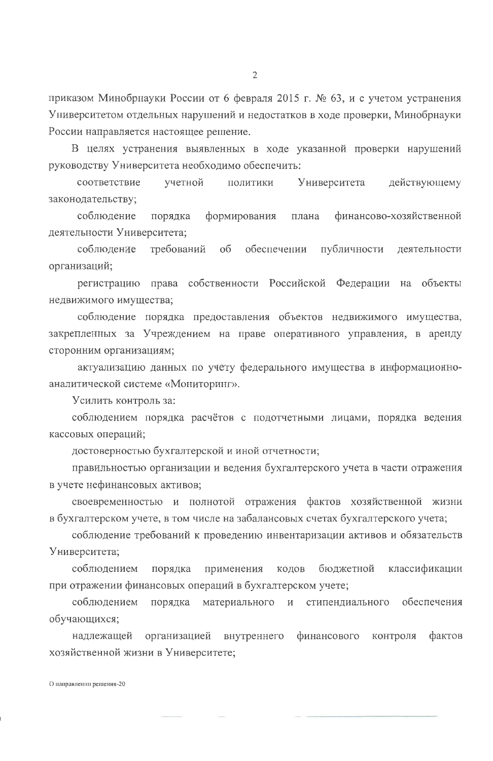приказом Минобрнауки России от 6 февраля 2015 г. № 63, и с учетом устранения Университетом отдельных нарушений и недостатков в ходе проверки, Минобрнауки России направляется настоящее решение.

В целях устранения выявленных в ходе указанной проверки нарушений руководству Университета необходимо обеспечить:

учетной Университета действующему соответствие ПОЛИТИКИ законодательству;

соблюдение формирования порядка финансово-хозяйственной плана деятельности Университета;

требований об обеспечении публичности деятельности соблюдение организаций;

регистрацию права собственности Российской Федерации на объекты недвижимого имущества;

соблюдение порядка предоставления объектов недвижимого имущества, закрепленных за Учреждением на праве оперативного управления, в аренду сторонним организациям;

актуализацию данных по учету федерального имущества в информационноаналитической системе «Мониторинг».

Усилить контроль за:

соблюдением порядка расчётов с подотчетными лицами, порядка ведения кассовых операций;

достоверностью бухгалтерской и иной отчетности;

правильностью организации и ведения бухгалтерского учета в части отражения в учете нефинансовых активов;

своевременностью и полнотой отражения фактов хозяйственной жизни в бухгалтерском учете, в том числе на забалансовых счетах бухгалтерского учета;

соблюдение требований к проведению инвентаризации активов и обязательств Университета;

соблюдением применения бюджетной классификации порядка кодов при отражении финансовых операций в бухгалтерском учете; соблюдением порядка обеспечения материального  $\overline{\mathbf{M}}$ стипендиального обучающихся;

надлежащей организацией фактов внутреннего финансового контроля хозяйственной жизни в Университете;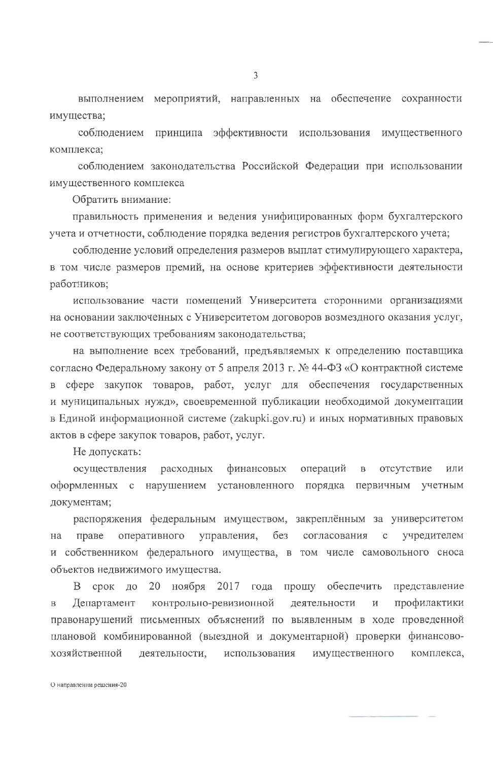выполнением мероприятий, направленных на обеспечение сохранности имущества;

соблюдением принципа эффективности использования имущественного комплекса;

соблюдением законодательства Российской Федерации при использовании имущественного комплекса

Обратить внимание:

правильность применения и ведения унифицированных форм бухгалтерского учета и отчетности, соблюдение порядка ведения регистров бухгалтерского учета;

соблюдение условий определения размеров выплат стимулирующего характера, в том числе размеров премий, на основе критериев эффективности деятельности работников;

использование части помещений Университета сторонними организациями на основании заключенных с Университетом договоров возмездного оказания услуг, не соответствующих требованиям законодательства;

на выполнение всех требований, предъявляемых к определению поставщика согласно Федеральному закону от 5 апреля 2013 г. № 44-ФЗ «О контрактной системе сфере закупок товаров, работ, услуг для обеспечения государственных  $\, {\bf B}$ и муниципальных нужд», своевременной публикации необходимой документации в Единой информационной системе (zakupki.gov.ru) и иных нормативных правовых актов в сфере закупок товаров, работ, услуг.

Не допускать:

осуществления финансовых операций расходных  $\, {\bf B}$ отсутствие ИЛИ оформленных с нарушением установленного порядка первичным учетным документам;

распоряжения федеральным имуществом, закреплённым за университетом управления,  $6e<sub>3</sub>$ согласования учредителем оперативного праве  $\mathbf C$ Ha и собственником федерального имущества, в том числе самовольного сноса

3

объектов недвижимого имущества.

20 ноября 2017 года прошу обеспечить срок B. ДО представление контрольно-ревизионной профилактики Департамент деятельности  $\mathbf{M}$  $\overline{B}$ правонарушений письменных объяснений по выявленным в ходе проведенной плановой комбинированной (выездной и документарной) проверки финансовохозяйственной деятельности, комплекса, использования имущественного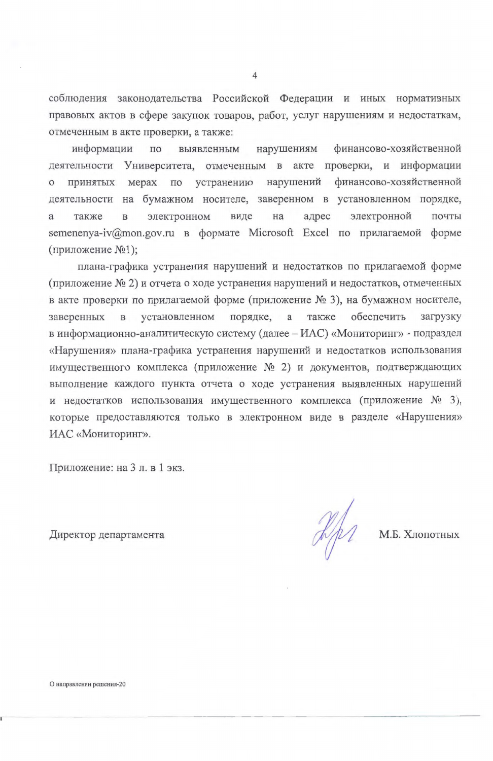соблюдения законодательства Российской Федерации и иных нормативных правовых актов в сфере закупок товаров, работ, услуг нарушениям и недостаткам, отмеченным в акте проверки, а также:

финансово-хозяйственной информации нарушениям по выявленным деятельности Университета, отмеченным в акте проверки, и информации принятых мерах по устранению нарушений финансово-хозяйственной  $\circ$ деятельности на бумажном носителе, заверенном в установленном порядке, электронном электронной на адрес почты также  $\mathbf{B}$ виде a semenenya-iv@mon.gov.ru в формате Microsoft Excel по прилагаемой форме (приложение №1);

плана-графика устранения нарушений и недостатков по прилагаемой форме (приложение № 2) и отчета о ходе устранения нарушений и недостатков, отмеченных в акте проверки по прилагаемой форме (приложение № 3), на бумажном носителе, порядке, а обеспечить также загрузку заверенных установленном  $\, {\bf B}$ в информационно-аналитическую систему (далее - ИАС) «Мониторинг» - подраздел «Нарушения» плана-графика устранения нарушений и недостатков использования имущественного комплекса (приложение № 2) и документов, подтверждающих выполнение каждого пункта отчета о ходе устранения выявленных нарушений и недостатков использования имущественного комплекса (приложение № 3), которые предоставляются только в электронном виде в разделе «Нарушения» ИАС «Мониторинг».

Приложение: на 3 л. в 1 экз.

М.Б. Хлопотных

Директор департамента

4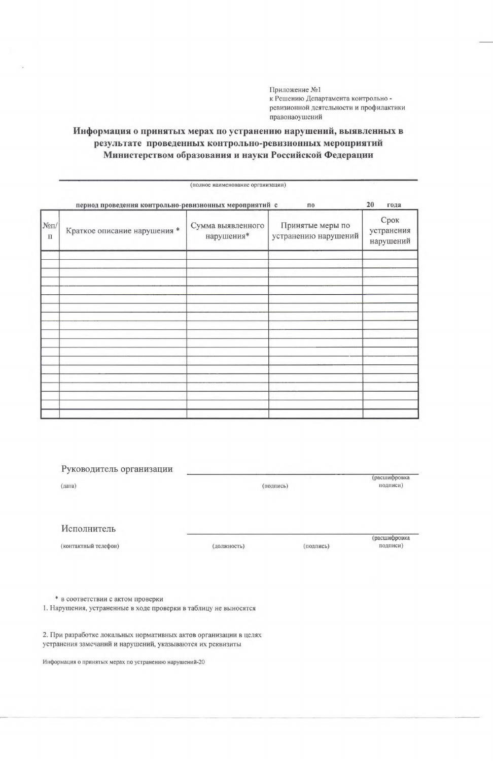Приложение №1 к Решению Департамента контрольно ревизионной деятельности и профилактики правонаоушений

#### Информация о принятых мерах по устранению нарушений, выявленных в результате проведенных контрольно-ревизионных мероприятий Министерством образования и науки Российской Федерации

|                           | период проведения контрольно-ревизионных мероприятий с |                                 | $\mathbf{n}$                             | 20<br>года                      |
|---------------------------|--------------------------------------------------------|---------------------------------|------------------------------------------|---------------------------------|
| $N\!\bar{e}\Pi/$<br>$\Pi$ | Краткое описание нарушения *                           | Сумма выявленного<br>нарушения* | Принятые меры по<br>устранению нарушений | Срок<br>устранения<br>нарушений |
|                           |                                                        |                                 |                                          |                                 |
|                           |                                                        |                                 |                                          |                                 |
|                           |                                                        |                                 |                                          |                                 |
|                           |                                                        |                                 |                                          |                                 |
|                           |                                                        |                                 |                                          |                                 |
|                           |                                                        |                                 |                                          |                                 |
|                           |                                                        |                                 |                                          |                                 |
|                           |                                                        |                                 |                                          |                                 |
|                           |                                                        |                                 |                                          |                                 |
|                           |                                                        |                                 |                                          |                                 |

(полное наименование организации)

| Руководитель организации<br>(дата) |             | (подпись) |                          |
|------------------------------------|-------------|-----------|--------------------------|
| Исполнитель                        |             |           |                          |
| (контактный телефон)               | (должность) | (подпись) | (расшифровка<br>подписи) |

\* в соответствии с актом проверки

1. Нарушения, устраненные в ходе проверки в таблицу не выносятся

2. При разработке локальных нормативных актов организации в целях устранения замечаний и нарушений, указываются их реквизиты

Информация о принятых мерах по устранению нарушений-20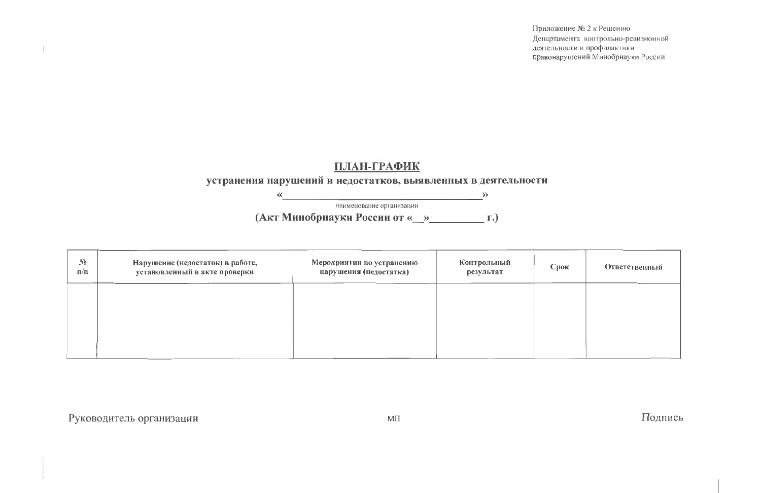# **ПЛАН-ГРАФИК**

### устранения нарушений и недостатков, выявленных в деятельности

 $\rightarrow$ 

наименование организации

(Акт Минобрнауки России от «\_\_»\_\_\_\_\_\_\_\_\_\_\_\_\_\_\_\_ г.)

| $\mathbf{N}$ <sup>o</sup><br>n/n | Нарушение (недостаток) в работе,<br>установленный в акте проверки | Мероприятия по устранению<br>нарушения (недостатка) | Контрольный<br>результат | Cp |
|----------------------------------|-------------------------------------------------------------------|-----------------------------------------------------|--------------------------|----|
|                                  |                                                                   |                                                     |                          |    |
|                                  |                                                                   |                                                     |                          |    |
|                                  |                                                                   |                                                     |                          |    |

 $\ll$ 

Руководитель организации

Приложение № 2 к Решению Департамента контрольно-ревизионной деятельности и профилактики травонарушений Минобрнауки России

| ЮΚ | Ответственный |
|----|---------------|
|    |               |
|    |               |
|    |               |

# Подпись